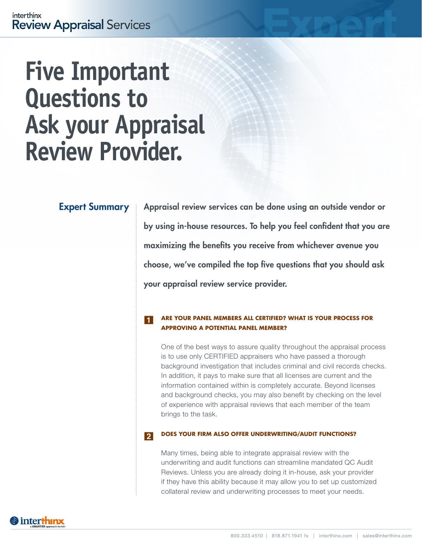# **Five Important Questions to Ask your Appraisal Review Provider.**

# Expert Summary

Appraisal review services can be done using an outside vendor or by using in-house resources. To help you feel confident that you are maximizing the benefits you receive from whichever avenue you choose, we've compiled the top five questions that you should ask your appraisal review service provider.

## **ARE YOUR PANEL MEMBERS ALL CERTIFIED? WHAT IS YOUR PROCESS FOR APPROVING A POTENTIAL PANEL MEMBER?** 1

One of the best ways to assure quality throughout the appraisal process is to use only CERTIFIED appraisers who have passed a thorough background investigation that includes criminal and civil records checks. In addition, it pays to make sure that all licenses are current and the information contained within is completely accurate. Beyond licenses and background checks, you may also benefit by checking on the level of experience with appraisal reviews that each member of the team brings to the task.

### **DOES YOUR FIRM ALSO OFFER UNDERWRITING/AUDIT FUNCTIONS?** 2

Many times, being able to integrate appraisal review with the underwriting and audit functions can streamline mandated QC Audit Reviews. Unless you are already doing it in-house, ask your provider if they have this ability because it may allow you to set up customized collateral review and underwriting processes to meet your needs.